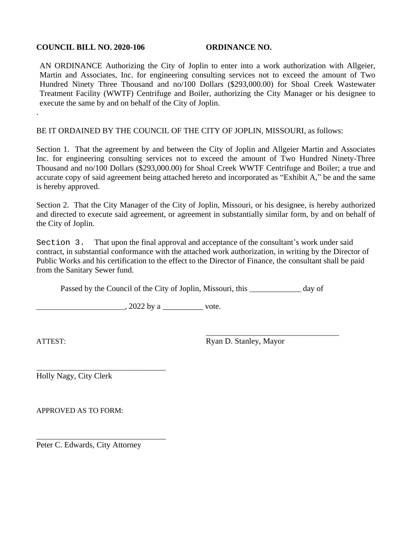## **COUNCIL BILL NO. 2020-106 ORDINANCE NO.**

AN ORDINANCE Authorizing the City of Joplin to enter into a work authorization with Allgeier, Martin and Associates, Inc. for engineering consulting services not to exceed the amount of Two Hundred Ninety Three Thousand and no/100 Dollars (\$293,000.00) for Shoal Creek Wastewater Treatment Facility (WWTF) Centrifuge and Boiler, authorizing the City Manager or his designee to execute the same by and on behalf of the City of Joplin.

BE IT ORDAINED BY THE COUNCIL OF THE CITY OF JOPLIN, MISSOURI, as follows:

Section 1. That the agreement by and between the City of Joplin and Allgeier Martin and Associates Inc. for engineering consulting services not to exceed the amount of Two Hundred Ninety-Three Thousand and no/100 Dollars (\$293,000.00) for Shoal Creek WWTF Centrifuge and Boiler; a true and accurate copy of said agreement being attached hereto and incorporated as "Exhibit A," be and the same is hereby approved.

Section 2. That the City Manager of the City of Joplin, Missouri, or his designee, is hereby authorized and directed to execute said agreement, or agreement in substantially similar form, by and on behalf of the City of Joplin.

Section 3. That upon the final approval and acceptance of the consultant's work under said contract, in substantial conformance with the attached work authorization, in writing by the Director of Public Works and his certification to the effect to the Director of Finance, the consultant shall be paid from the Sanitary Sewer fund.

Passed by the Council of the City of Joplin, Missouri, this \_\_\_\_\_\_\_\_\_\_\_\_\_\_ day of

 $\frac{1}{2022 \text{ by a}}$  vote.

.

\_\_\_\_\_\_\_\_\_\_\_\_\_\_\_\_\_\_\_\_\_\_\_\_\_\_\_\_\_\_\_\_\_\_\_\_ ATTEST: Ryan D. Stanley, Mayor

\_\_\_\_\_\_\_\_\_\_\_\_\_\_\_\_\_\_\_\_\_\_\_\_\_\_\_\_\_\_\_\_\_\_\_ Holly Nagy, City Clerk

APPROVED AS TO FORM:

Peter C. Edwards, City Attorney

\_\_\_\_\_\_\_\_\_\_\_\_\_\_\_\_\_\_\_\_\_\_\_\_\_\_\_\_\_\_\_\_\_\_\_